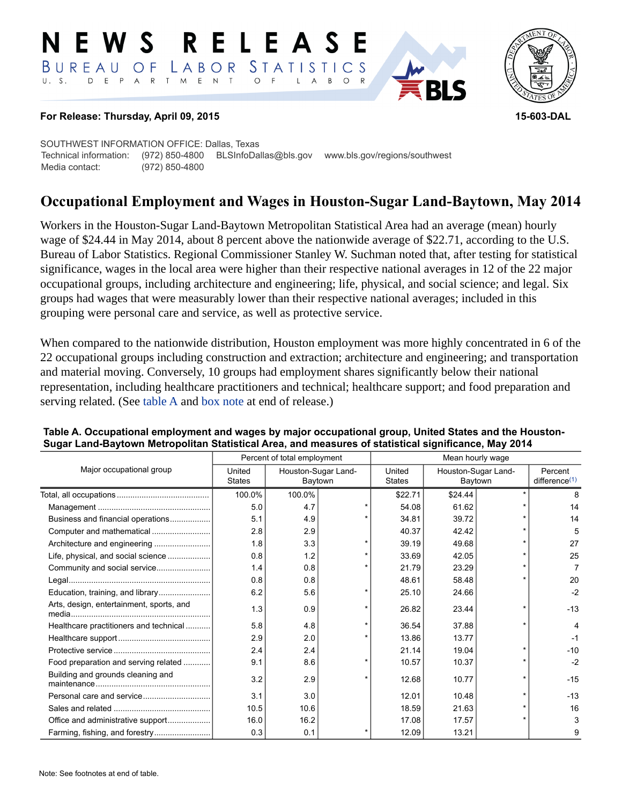#### RELEASE E W S LABOR STATISTICS BUREAU OF D E P A R T M E N T  $\circ$  $U. S.$  $F$  $\mathsf{L}$  $\overline{A}$  $B$  $O$   $R$



### **For Release: Thursday, April 09, 2015 15-603-DAL**

SOUTHWEST INFORMATION OFFICE: Dallas, Texas Technical information: (972) 850-4800 BLSInfoDallas@bls.gov www.bls.gov/regions/southwest Media contact: (972) 850-4800

# **Occupational Employment and Wages in Houston-Sugar Land-Baytown, May 2014**

Workers in the Houston-Sugar Land-Baytown Metropolitan Statistical Area had an average (mean) hourly wage of \$24.44 in May 2014, about 8 percent above the nationwide average of \$22.71, according to the U.S. Bureau of Labor Statistics. Regional Commissioner Stanley W. Suchman noted that, after testing for statistical significance, wages in the local area were higher than their respective national averages in 12 of the 22 major occupational groups, including architecture and engineering; life, physical, and social science; and legal. Six groups had wages that were measurably lower than their respective national averages; included in this grouping were personal care and service, as well as protective service.

When compared to the nationwide distribution, Houston employment was more highly concentrated in 6 of the 22 occupational groups including construction and extraction; architecture and engineering; and transportation and material moving. Conversely, 10 groups had employment shares significantly below their national representation, including healthcare practitioners and technical; healthcare support; and food preparation and serving related. (See [table A](#page-0-0) and [box note](#page-2-0) at end of release.)

|                                          | Percent of total employment |                                |   | Mean hourly wage        |                                |  |                                      |
|------------------------------------------|-----------------------------|--------------------------------|---|-------------------------|--------------------------------|--|--------------------------------------|
| Major occupational group                 | United<br><b>States</b>     | Houston-Sugar Land-<br>Baytown |   | United<br><b>States</b> | Houston-Sugar Land-<br>Baytown |  | Percent<br>difference <sup>(1)</sup> |
|                                          | 100.0%                      | 100.0%                         |   | \$22.71                 | \$24.44                        |  | 8                                    |
|                                          | 5.0                         | 4.7                            |   | 54.08                   | 61.62                          |  | 14                                   |
| Business and financial operations        | 5.1                         | 4.9                            |   | 34.81                   | 39.72                          |  | 14                                   |
|                                          | 2.8                         | 2.9                            |   | 40.37                   | 42.42                          |  | 5                                    |
|                                          | 1.8                         | 3.3                            |   | 39.19                   | 49.68                          |  | 27                                   |
| Life, physical, and social science       | 0.8                         | 1.2                            | ÷ | 33.69                   | 42.05                          |  | 25                                   |
|                                          | 1.4                         | 0.8                            |   | 21.79                   | 23.29                          |  | 7                                    |
|                                          | 0.8                         | 0.8                            |   | 48.61                   | 58.48                          |  | 20                                   |
|                                          | 6.2                         | 5.6                            |   | 25.10                   | 24.66                          |  | $-2$                                 |
| Arts, design, entertainment, sports, and | 1.3                         | 0.9                            |   | 26.82                   | 23.44                          |  | $-13$                                |
| Healthcare practitioners and technical   | 5.8                         | 4.8                            | ÷ | 36.54                   | 37.88                          |  | 4                                    |
|                                          | 2.9                         | 2.0                            |   | 13.86                   | 13.77                          |  | $-1$                                 |
|                                          | 2.4                         | 2.4                            |   | 21.14                   | 19.04                          |  | $-10$                                |
| Food preparation and serving related     | 9.1                         | 8.6                            |   | 10.57                   | 10.37                          |  | $-2$                                 |
| Building and grounds cleaning and        | 3.2                         | 2.9                            |   | 12.68                   | 10.77                          |  | $-15$                                |
|                                          | 3.1                         | 3.0                            |   | 12.01                   | 10.48                          |  | $-13$                                |
|                                          | 10.5                        | 10.6                           |   | 18.59                   | 21.63                          |  | 16                                   |
| Office and administrative support        | 16.0                        | 16.2                           |   | 17.08                   | 17.57                          |  | 3                                    |
| Farming, fishing, and forestry           | 0.3                         | 0.1                            |   | 12.09                   | 13.21                          |  | 9                                    |

#### <span id="page-0-0"></span>**Table A. Occupational employment and wages by major occupational group, United States and the Houston-Sugar Land-Baytown Metropolitan Statistical Area, and measures of statistical significance, May 2014**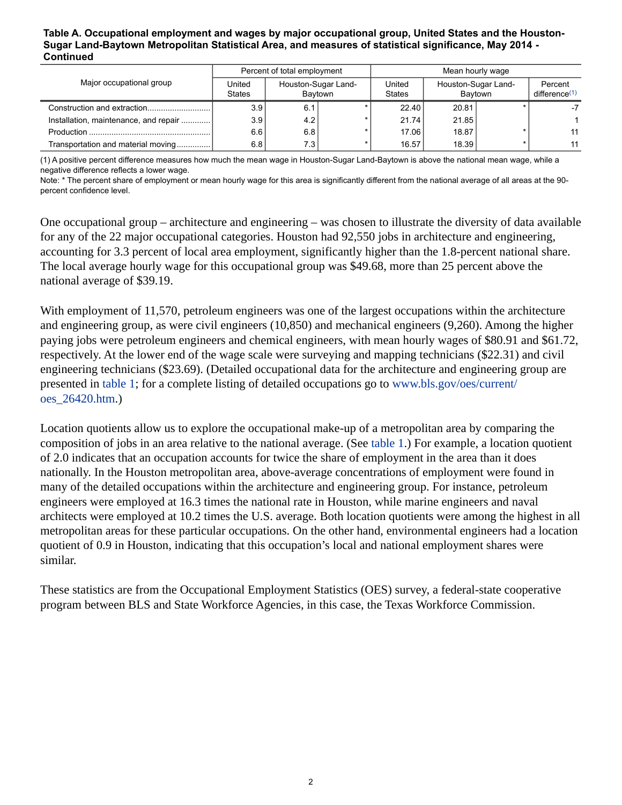#### **Table A. Occupational employment and wages by major occupational group, United States and the Houston-Sugar Land-Baytown Metropolitan Statistical Area, and measures of statistical significance, May 2014 - Continued**

|                                       | Percent of total employment |                                |  | Mean hourly wage        |                                |  |                             |
|---------------------------------------|-----------------------------|--------------------------------|--|-------------------------|--------------------------------|--|-----------------------------|
| Major occupational group              | United<br><b>States</b>     | Houston-Sugar Land-<br>Bavtown |  | United<br><b>States</b> | Houston-Sugar Land-<br>Bavtown |  | Percent<br>difference $(1)$ |
|                                       | 3.9 <sub>1</sub>            | 6.1                            |  | 22.40                   | 20.81                          |  |                             |
| Installation, maintenance, and repair | 3.9                         | 4.2                            |  | 21.74                   | 21.85                          |  |                             |
|                                       | 6.6                         | 6.8                            |  | 17.06                   | 18.87                          |  | 11                          |
| Transportation and material moving    | 6.8                         | 7.3.                           |  | 16.57                   | 18.39                          |  | 11                          |

<span id="page-1-0"></span>(1) A positive percent difference measures how much the mean wage in Houston-Sugar Land-Baytown is above the national mean wage, while a negative difference reflects a lower wage.

Note: \* The percent share of employment or mean hourly wage for this area is significantly different from the national average of all areas at the 90 percent confidence level.

One occupational group – architecture and engineering – was chosen to illustrate the diversity of data available for any of the 22 major occupational categories. Houston had 92,550 jobs in architecture and engineering, accounting for 3.3 percent of local area employment, significantly higher than the 1.8-percent national share. The local average hourly wage for this occupational group was \$49.68, more than 25 percent above the national average of \$39.19.

With employment of 11,570, petroleum engineers was one of the largest occupations within the architecture and engineering group, as were civil engineers (10,850) and mechanical engineers (9,260). Among the higher paying jobs were petroleum engineers and chemical engineers, with mean hourly wages of \$80.91 and \$61.72, respectively. At the lower end of the wage scale were surveying and mapping technicians (\$22.31) and civil engineering technicians (\$23.69). (Detailed occupational data for the architecture and engineering group are presented in [table 1](#page-4-0); for a complete listing of detailed occupations go to [www.bls.gov/oes/current/](https://www.bls.gov/oes/current/oes_26420.htm) [oes\\_26420.htm](https://www.bls.gov/oes/current/oes_26420.htm).)

Location quotients allow us to explore the occupational make-up of a metropolitan area by comparing the composition of jobs in an area relative to the national average. (See [table 1.](#page-4-0)) For example, a location quotient of 2.0 indicates that an occupation accounts for twice the share of employment in the area than it does nationally. In the Houston metropolitan area, above-average concentrations of employment were found in many of the detailed occupations within the architecture and engineering group. For instance, petroleum engineers were employed at 16.3 times the national rate in Houston, while marine engineers and naval architects were employed at 10.2 times the U.S. average. Both location quotients were among the highest in all metropolitan areas for these particular occupations. On the other hand, environmental engineers had a location quotient of 0.9 in Houston, indicating that this occupation's local and national employment shares were similar.

These statistics are from the Occupational Employment Statistics (OES) survey, a federal-state cooperative program between BLS and State Workforce Agencies, in this case, the Texas Workforce Commission.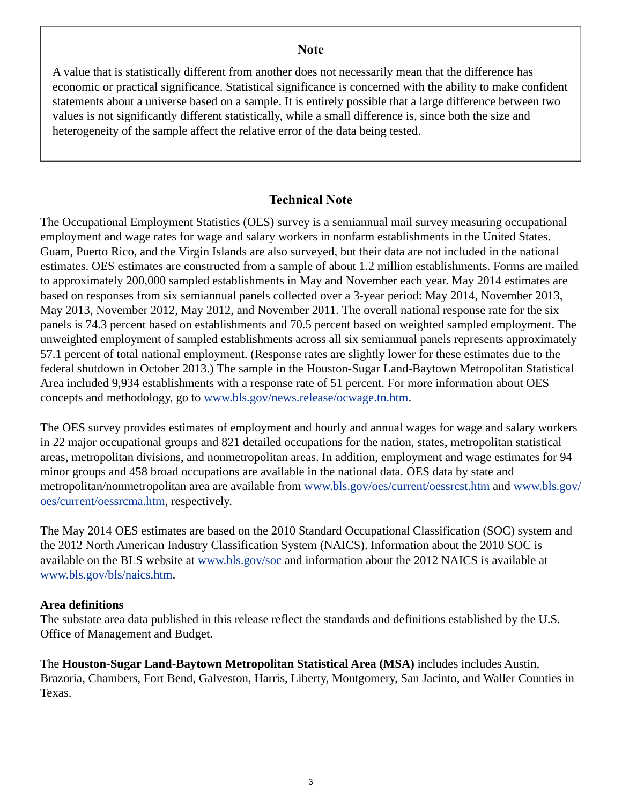## **Note**

<span id="page-2-0"></span>A value that is statistically different from another does not necessarily mean that the difference has economic or practical significance. Statistical significance is concerned with the ability to make confident statements about a universe based on a sample. It is entirely possible that a large difference between two values is not significantly different statistically, while a small difference is, since both the size and heterogeneity of the sample affect the relative error of the data being tested.

# **Technical Note**

The Occupational Employment Statistics (OES) survey is a semiannual mail survey measuring occupational employment and wage rates for wage and salary workers in nonfarm establishments in the United States. Guam, Puerto Rico, and the Virgin Islands are also surveyed, but their data are not included in the national estimates. OES estimates are constructed from a sample of about 1.2 million establishments. Forms are mailed to approximately 200,000 sampled establishments in May and November each year. May 2014 estimates are based on responses from six semiannual panels collected over a 3-year period: May 2014, November 2013, May 2013, November 2012, May 2012, and November 2011. The overall national response rate for the six panels is 74.3 percent based on establishments and 70.5 percent based on weighted sampled employment. The unweighted employment of sampled establishments across all six semiannual panels represents approximately 57.1 percent of total national employment. (Response rates are slightly lower for these estimates due to the federal shutdown in October 2013.) The sample in the Houston-Sugar Land-Baytown Metropolitan Statistical Area included 9,934 establishments with a response rate of 51 percent. For more information about OES concepts and methodology, go to [www.bls.gov/news.release/ocwage.tn.htm](https://www.bls.gov/news.release/ocwage.tn.htm).

The OES survey provides estimates of employment and hourly and annual wages for wage and salary workers in 22 major occupational groups and 821 detailed occupations for the nation, states, metropolitan statistical areas, metropolitan divisions, and nonmetropolitan areas. In addition, employment and wage estimates for 94 minor groups and 458 broad occupations are available in the national data. OES data by state and metropolitan/nonmetropolitan area are available from [www.bls.gov/oes/current/oessrcst.htm](https://www.bls.gov/oes/current/oessrcst.htm) and [www.bls.gov/](https://www.bls.gov/oes/current/oessrcma.htm) [oes/current/oessrcma.htm,](https://www.bls.gov/oes/current/oessrcma.htm) respectively.

The May 2014 OES estimates are based on the 2010 Standard Occupational Classification (SOC) system and the 2012 North American Industry Classification System (NAICS). Information about the 2010 SOC is available on the BLS website at [www.bls.gov/soc](https://www.bls.gov/soc) and information about the 2012 NAICS is available at [www.bls.gov/bls/naics.htm.](https://www.bls.gov/bls/naics.htm)

# **Area definitions**

The substate area data published in this release reflect the standards and definitions established by the U.S. Office of Management and Budget.

The **Houston-Sugar Land-Baytown Metropolitan Statistical Area (MSA)** includes includes Austin, Brazoria, Chambers, Fort Bend, Galveston, Harris, Liberty, Montgomery, San Jacinto, and Waller Counties in Texas.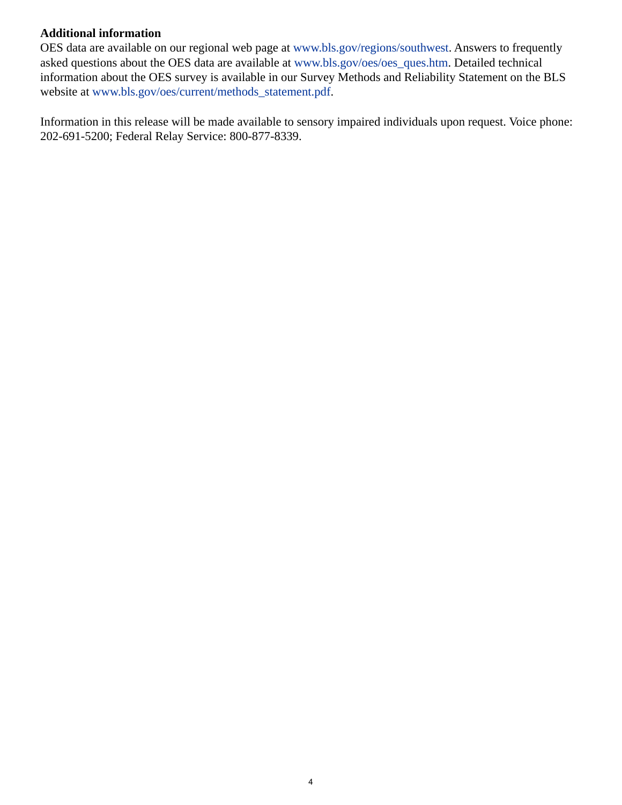# **Additional information**

OES data are available on our regional web page at [www.bls.gov/regions/southwest.](https://www.bls.gov/regions/southwest) Answers to frequently asked questions about the OES data are available at [www.bls.gov/oes/oes\\_ques.htm](https://www.bls.gov/oes/oes_ques.htm). Detailed technical information about the OES survey is available in our Survey Methods and Reliability Statement on the BLS website at [www.bls.gov/oes/current/methods\\_statement.pdf.](https://www.bls.gov/oes/current/methods_statement.pdf)

Information in this release will be made available to sensory impaired individuals upon request. Voice phone: 202-691-5200; Federal Relay Service: 800-877-8339.